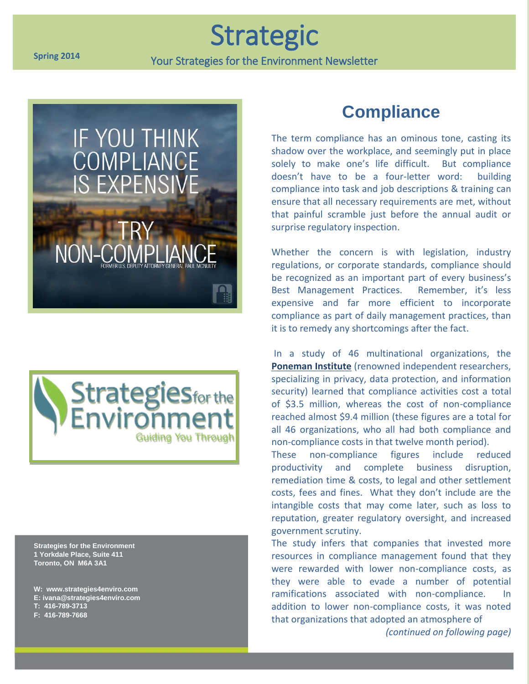#### **Spring 2014**

**Strategic** 

Your Strategies for the Environment Newsletter





**Strategies for the Environment 1 Yorkdale Place, Suite 411 Toronto, ON M6A 3A1**

**W: www.strategies4enviro.com E: ivana@strategies4enviro.com T: 416-789-3713 F: 416-789-7668**

### **Compliance**

The term compliance has an ominous tone, casting its shadow over the workplace, and seemingly put in place solely to make one's life difficult. But compliance doesn't have to be a four-letter word: building compliance into task and job descriptions & training can ensure that all necessary requirements are met, without that painful scramble just before the annual audit or surprise regulatory inspection.

Whether the concern is with legislation, industry regulations, or corporate standards, compliance should be recognized as an important part of every business's Best Management Practices. Remember, it's less expensive and far more efficient to incorporate compliance as part of daily management practices, than it is to remedy any shortcomings after the fact.

In a study of 46 multinational organizations, the **Poneman Institute** (renowned independent researchers, specializing in privacy, data protection, and information security) learned that compliance activities cost a total of \$3.5 million, whereas the cost of non-compliance reached almost \$9.4 million (these figures are a total for all 46 organizations, who all had both compliance and non-compliance costs in that twelve month period).

These non-compliance figures include reduced productivity and complete business disruption, remediation time & costs, to legal and other settlement costs, fees and fines. What they don't include are the intangible costs that may come later, such as loss to reputation, greater regulatory oversight, and increased government scrutiny.

The study infers that companies that invested more resources in compliance management found that they were rewarded with lower non-compliance costs, as they were able to evade a number of potential ramifications associated with non-compliance. In addition to lower non-compliance costs, it was noted that organizations that adopted an atmosphere of

*(continued on following page)*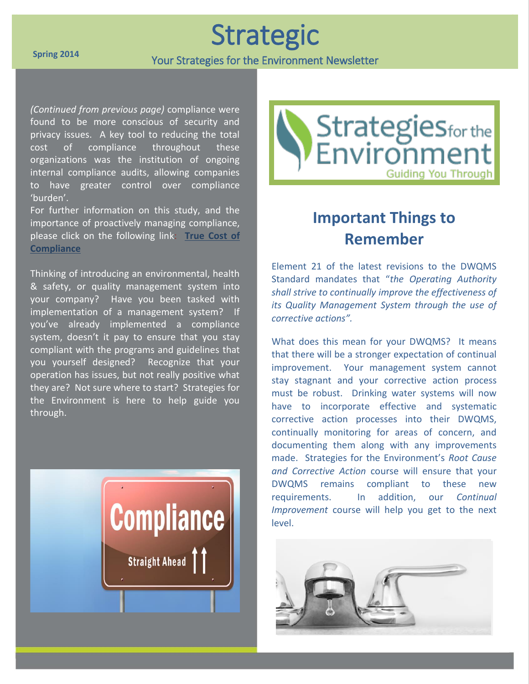Strategic

Your Strategies for the Environment Newsletter

*(Continued from previous page)* compliance were found to be more conscious of security and privacy issues. A key tool to reducing the total cost of compliance throughout these organizations was the institution of ongoing internal compliance audits, allowing companies to have greater control over compliance 'burden'.

For further information on this study, and the importance of proactively managing compliance, please click on the following link: **True Cost of Compliance**

Thinking of introducing an environmental, health & safety, or quality management system into your company? Have you been tasked with implementation of a management system? If you've already implemented a compliance system, doesn't it pay to ensure that you stay compliant with the programs and guidelines that you yourself designed? Recognize that your operation has issues, but not really positive what they are? Not sure where to start? Strategies for the Environment is here to help guide you through.





# **Important Things to Remember**

Element 21 of the latest revisions to the DWQMS Standard mandates that "*the Operating Authority shall strive to continually improve the effectiveness of its Quality Management System through the use of corrective actions".*

What does this mean for your DWQMS? It means that there will be a stronger expectation of continual improvement. Your management system cannot stay stagnant and your corrective action process must be robust. Drinking water systems will now have to incorporate effective and systematic corrective action processes into their DWQMS, continually monitoring for areas of concern, and documenting them along with any improvements made. Strategies for the Environment's *Root Cause and Corrective Action* course will ensure that your DWQMS remains compliant to these new requirements. In addition, our *Continual Improvement* course will help you get to the next level.